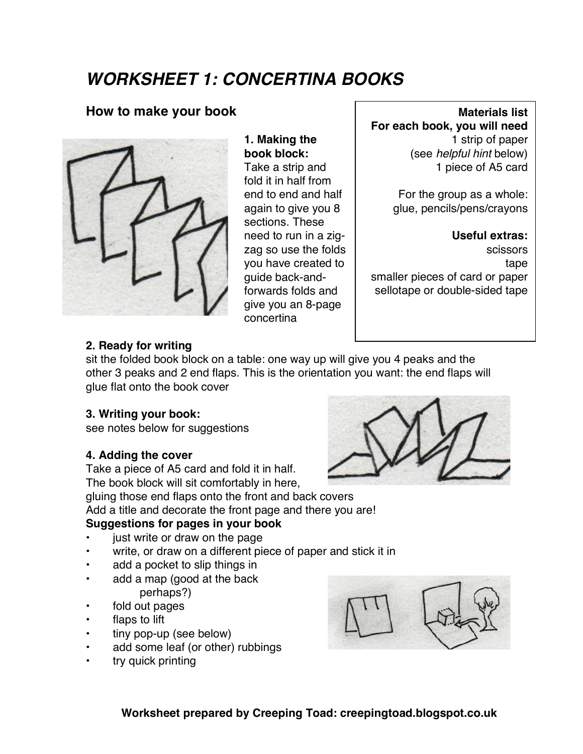## *WORKSHEET 1: CONCERTINA BOOKS*

### **How to make your book**



**1. Making the book block:** Take a strip and fold it in half from end to end and half again to give you 8 sections. These need to run in a zigzag so use the folds you have created to guide back-andforwards folds and give you an 8-page concertina

#### **Materials list For each book, you will need** 1 strip of paper (see *helpful hint* below) 1 piece of A5 card

For the group as a whole: glue, pencils/pens/crayons

**Useful extras:** scissors tape smaller pieces of card or paper sellotape or double-sided tape

#### **2. Ready for writing**

sit the folded book block on a table: one way up will give you 4 peaks and the other 3 peaks and 2 end flaps. This is the orientation you want: the end flaps will glue flat onto the book cover

#### **3. Writing your book:**

see notes below for suggestions

#### **4. Adding the cover**

Take a piece of A5 card and fold it in half. The book block will sit comfortably in here, gluing those end flaps onto the front and back covers Add a title and decorate the front page and there you are!

#### **Suggestions for pages in your book**

- just write or draw on the page
- write, or draw on a different piece of paper and stick it in
- add a pocket to slip things in
- add a map (good at the back perhaps?)
- fold out pages
- flaps to lift
- tiny pop-up (see below)
- add some leaf (or other) rubbings
- try quick printing